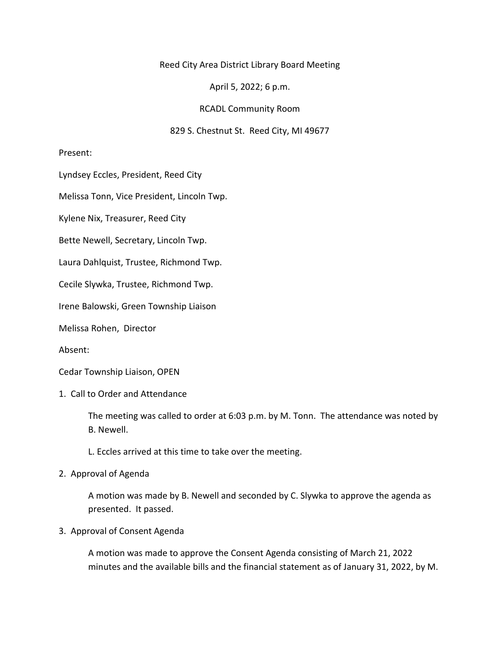# Reed City Area District Library Board Meeting

April 5, 2022; 6 p.m.

# RCADL Community Room

# 829 S. Chestnut St. Reed City, MI 49677

Present:

Lyndsey Eccles, President, Reed City

Melissa Tonn, Vice President, Lincoln Twp.

Kylene Nix, Treasurer, Reed City

Bette Newell, Secretary, Lincoln Twp.

Laura Dahlquist, Trustee, Richmond Twp.

Cecile Slywka, Trustee, Richmond Twp.

Irene Balowski, Green Township Liaison

Melissa Rohen, Director

Absent:

Cedar Township Liaison, OPEN

1. Call to Order and Attendance

The meeting was called to order at 6:03 p.m. by M. Tonn. The attendance was noted by B. Newell.

- L. Eccles arrived at this time to take over the meeting.
- 2. Approval of Agenda

A motion was made by B. Newell and seconded by C. Slywka to approve the agenda as presented. It passed.

## 3. Approval of Consent Agenda

A motion was made to approve the Consent Agenda consisting of March 21, 2022 minutes and the available bills and the financial statement as of January 31, 2022, by M.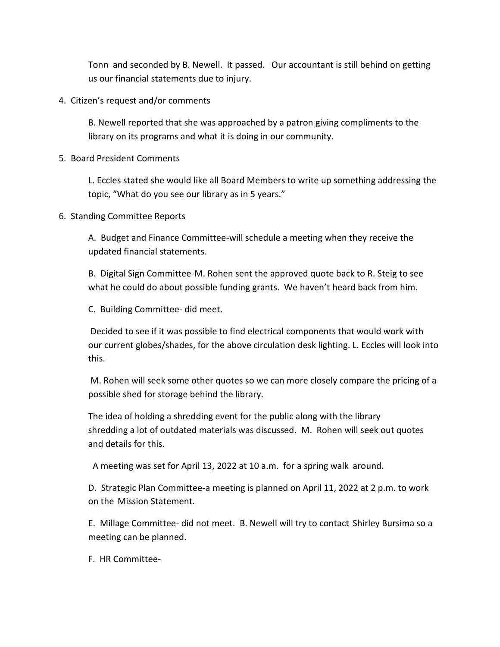Tonn and seconded by B. Newell. It passed. Our accountant is still behind on getting us our financial statements due to injury.

4. Citizen's request and/or comments

B. Newell reported that she was approached by a patron giving compliments to the library on its programs and what it is doing in our community.

5. Board President Comments

L. Eccles stated she would like all Board Members to write up something addressing the topic, "What do you see our library as in 5 years."

6. Standing Committee Reports

A. Budget and Finance Committee-will schedule a meeting when they receive the updated financial statements.

B. Digital Sign Committee-M. Rohen sent the approved quote back to R. Steig to see what he could do about possible funding grants. We haven't heard back from him.

C. Building Committee- did meet.

Decided to see if it was possible to find electrical components that would work with our current globes/shades, for the above circulation desk lighting. L. Eccles will look into this.

M. Rohen will seek some other quotes so we can more closely compare the pricing of a possible shed for storage behind the library.

The idea of holding a shredding event for the public along with the library shredding a lot of outdated materials was discussed. M. Rohen will seek out quotes and details for this.

A meeting was set for April 13, 2022 at 10 a.m. for a spring walk around.

D. Strategic Plan Committee-a meeting is planned on April 11, 2022 at 2 p.m. to work on the Mission Statement.

E. Millage Committee- did not meet. B. Newell will try to contact Shirley Bursima so a meeting can be planned.

F. HR Committee-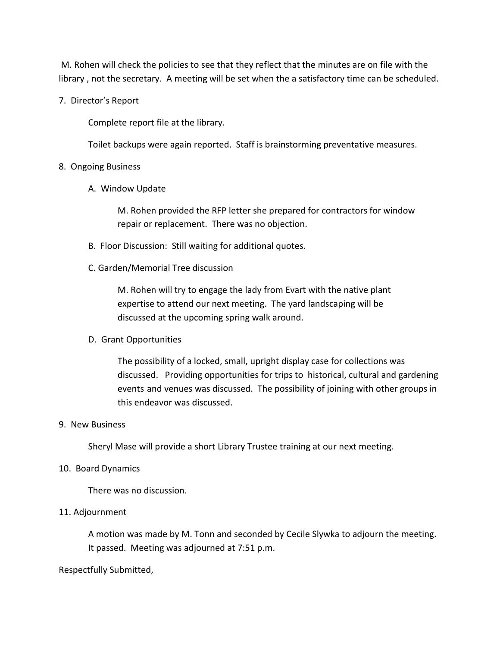M. Rohen will check the policies to see that they reflect that the minutes are on file with the library , not the secretary. A meeting will be set when the a satisfactory time can be scheduled.

7. Director's Report

Complete report file at the library.

Toilet backups were again reported. Staff is brainstorming preventative measures.

# 8. Ongoing Business

A. Window Update

M. Rohen provided the RFP letter she prepared for contractors for window repair or replacement. There was no objection.

- B. Floor Discussion: Still waiting for additional quotes.
- C. Garden/Memorial Tree discussion

M. Rohen will try to engage the lady from Evart with the native plant expertise to attend our next meeting. The yard landscaping will be discussed at the upcoming spring walk around.

D. Grant Opportunities

The possibility of a locked, small, upright display case for collections was discussed. Providing opportunities for trips to historical, cultural and gardening events and venues was discussed. The possibility of joining with other groups in this endeavor was discussed.

## 9. New Business

Sheryl Mase will provide a short Library Trustee training at our next meeting.

## 10. Board Dynamics

There was no discussion.

# 11. Adjournment

A motion was made by M. Tonn and seconded by Cecile Slywka to adjourn the meeting. It passed. Meeting was adjourned at 7:51 p.m.

## Respectfully Submitted,